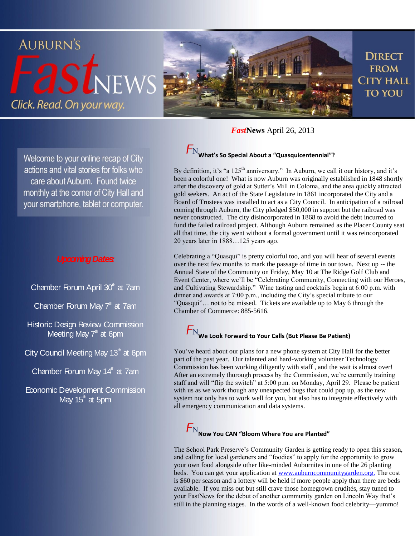

*Fast***News** April 26, 2013

Welcome to your online recap of City actions and vital stories for folks who care about Auburn. Found twice monthly at the corner of City Hall and your smartphone, tablet or computer.

#### *Upcoming Dates:*

Chamber Forum April 30<sup>th</sup> at 7am

Chamber Forum May 7<sup>th</sup> at 7am

Historic Design Review Commission Meeting May  $7<sup>th</sup>$  at 6pm

City Council Meeting May 13<sup>th</sup> at 6pm

Chamber Forum May 14<sup>th</sup> at 7am

Economic Development Commission May  $15<sup>th</sup>$  at 5pm

# $F_{\rm N}$  What's So Special About a "Quasquicentennial"?

By definition, it's "a 125<sup>th</sup> anniversary." In Auburn, we call it our history, and it's been a colorful one! What is now Auburn was originally established in 1848 shortly after the discovery of gold at Sutter's Mill in Coloma, and the area quickly attracted gold seekers. An act of the State Legislature in 1861 incorporated the City and a Board of Trustees was installed to act as a City Council. In anticipation of a railroad coming through Auburn, the City pledged \$50,000 in support but the railroad was never constructed. The city disincorporated in 1868 to avoid the debt incurred to fund the failed railroad project. Although Auburn remained as the Placer County seat all that time, the city went without a formal government until it was reincorporated 20 years later in 1888…125 years ago.

Celebrating a "Quasqui" is pretty colorful too, and you will hear of several events over the next few months to mark the passage of time in our town. Next up -- the Annual State of the Community on Friday, May 10 at The Ridge Golf Club and Event Center, where we'll be "Celebrating Community, Connecting with our Heroes, and Cultivating Stewardship." Wine tasting and cocktails begin at 6:00 p.m. with dinner and awards at 7:00 p.m., including the City's special tribute to our "Quasqui"… not to be missed. Tickets are available up to May 6 through the Chamber of Commerce: 885-5616.

# $F_{\rm N}$  We Look Forward to Your Calls (But Please Be Patient)

You've heard about our plans for a new phone system at City Hall for the better part of the past year. Our talented and hard-working volunteer Technology Commission has been working diligently with staff , and the wait is almost over! After an extremely thorough process by the Commission, we're currently training staff and will "flip the switch" at 5:00 p.m. on Monday, April 29. Please be patient with us as we work though any unexpected bugs that could pop up, as the new system not only has to work well for you, but also has to integrate effectively with all emergency communication and data systems.

### **Now You CAN "Bloom Where You are Planted"**

The School Park Preserve's Community Garden is getting ready to open this season, and calling for local gardeners and "foodies" to apply for the opportunity to grow your own food alongside other like-minded Auburnites in one of the 26 planting beds. You can get your application a[t www.auburncommunitygarden.org.](http://www.auburncommunitygarden.org/) The cost is \$60 per season and a lottery will be held if more people apply than there are beds available. If you miss out but still crave those homegrown crudités, stay tuned to your FastNews for the debut of another community garden on Lincoln Way that's still in the planning stages. In the words of a well-known food celebrity—yummo!